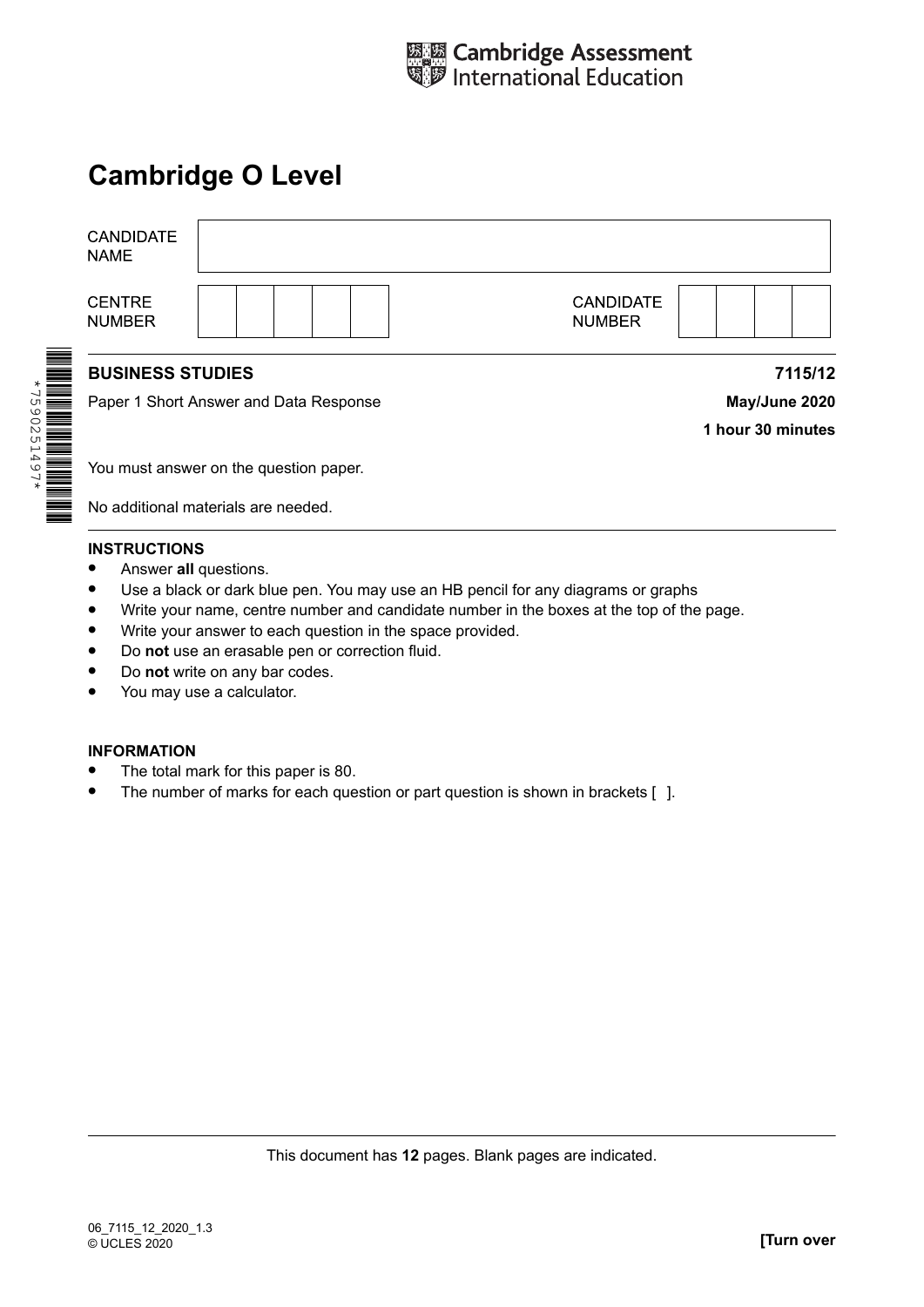

# **Cambridge O Level**

| <b>CANDIDATE</b><br><b>NAME</b> |                                        |                                   |
|---------------------------------|----------------------------------------|-----------------------------------|
| <b>CENTRE</b><br><b>NUMBER</b>  |                                        | <b>CANDIDATE</b><br><b>NUMBER</b> |
| <b>BUSINESS STUDIES</b>         |                                        | 7115/12                           |
|                                 | Paper 1 Short Answer and Data Response | May/June 2020                     |
|                                 |                                        | 1 hour 30 minutes                 |

You must answer on the question paper.

No additional materials are needed.

#### **INSTRUCTIONS**

- **•** Answer **all** questions.
- **•** Use a black or dark blue pen. You may use an HB pencil for any diagrams or graphs
- **•** Write your name, centre number and candidate number in the boxes at the top of the page.
- **•** Write your answer to each question in the space provided.
- **•** Do **not** use an erasable pen or correction fluid.
- **•** Do **not** write on any bar codes.<br>• You may use a calculator
- **•** You may use a calculator.

#### **INFORMATION**

- **•** The total mark for this paper is 80.
- **•** The number of marks for each question or part question is shown in brackets [ ].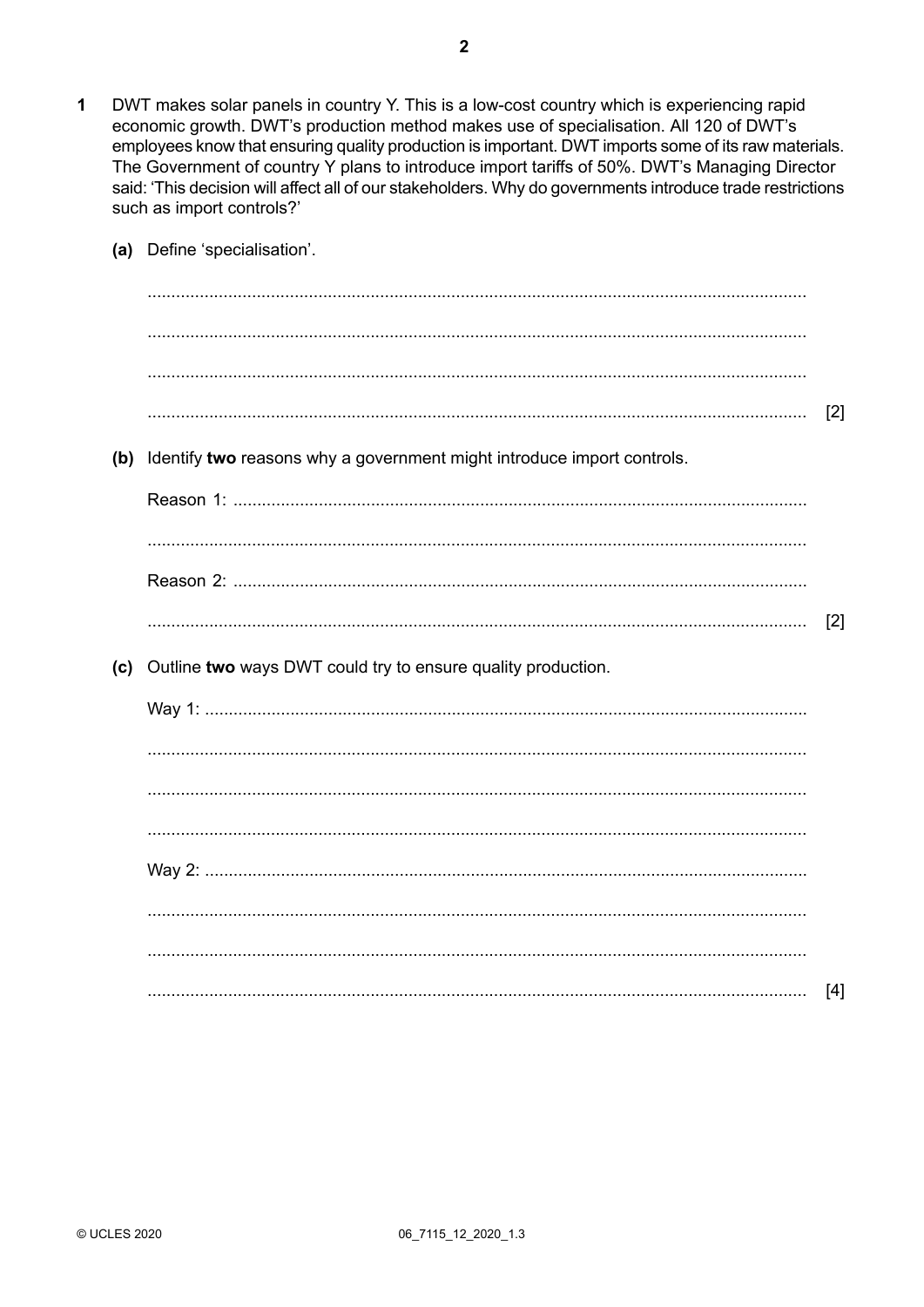$\overline{1}$ DWT makes solar panels in country Y. This is a low-cost country which is experiencing rapid economic growth. DWT's production method makes use of specialisation. All 120 of DWT's employees know that ensuring quality production is important. DWT imports some of its raw materials. The Government of country Y plans to introduce import tariffs of 50%. DWT's Managing Director said: 'This decision will affect all of our stakeholders. Why do governments introduce trade restrictions such as import controls?'

| (a) Define 'specialisation'.                                               |       |
|----------------------------------------------------------------------------|-------|
|                                                                            |       |
|                                                                            |       |
|                                                                            |       |
|                                                                            | $[2]$ |
| (b) Identify two reasons why a government might introduce import controls. |       |
|                                                                            |       |
|                                                                            |       |
|                                                                            |       |
|                                                                            | $[2]$ |
| (c) Outline two ways DWT could try to ensure quality production.           |       |
|                                                                            |       |
|                                                                            |       |
|                                                                            |       |
|                                                                            |       |
|                                                                            |       |
|                                                                            |       |
|                                                                            |       |
|                                                                            | $[4]$ |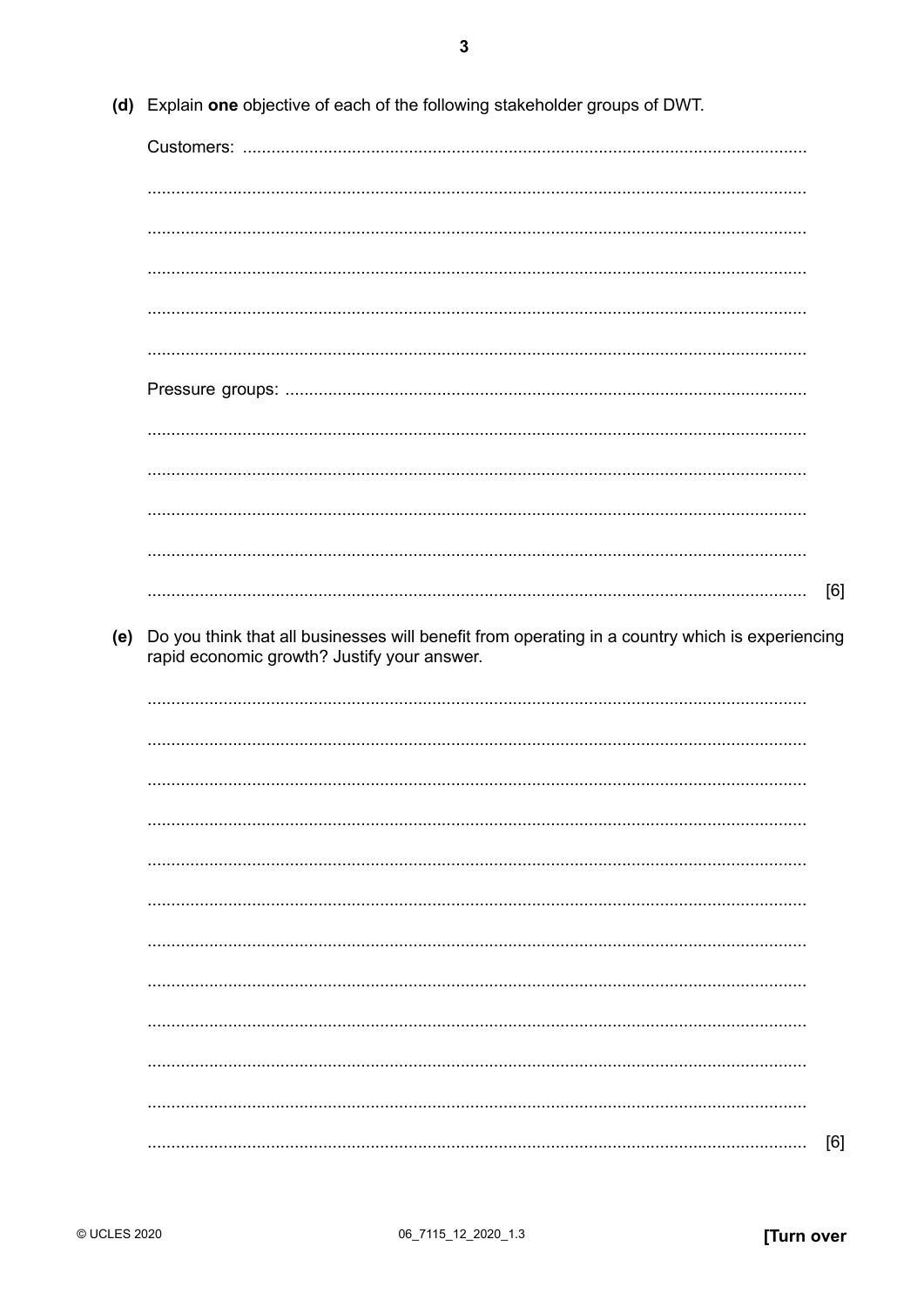|     | (d) Explain one objective of each of the following stakeholder groups of DWT.                   |
|-----|-------------------------------------------------------------------------------------------------|
|     |                                                                                                 |
|     |                                                                                                 |
|     |                                                                                                 |
|     |                                                                                                 |
|     |                                                                                                 |
|     |                                                                                                 |
|     |                                                                                                 |
|     |                                                                                                 |
|     |                                                                                                 |
|     |                                                                                                 |
|     |                                                                                                 |
|     |                                                                                                 |
|     |                                                                                                 |
|     |                                                                                                 |
|     |                                                                                                 |
|     |                                                                                                 |
|     | Do you think that all businesses will benefit from operating in a country which is experiencing |
|     | rapid economic growth? Justify your answer.                                                     |
|     |                                                                                                 |
|     |                                                                                                 |
|     |                                                                                                 |
|     |                                                                                                 |
|     |                                                                                                 |
|     |                                                                                                 |
|     |                                                                                                 |
|     |                                                                                                 |
|     |                                                                                                 |
|     |                                                                                                 |
|     |                                                                                                 |
|     |                                                                                                 |
|     |                                                                                                 |
| (e) |                                                                                                 |
|     |                                                                                                 |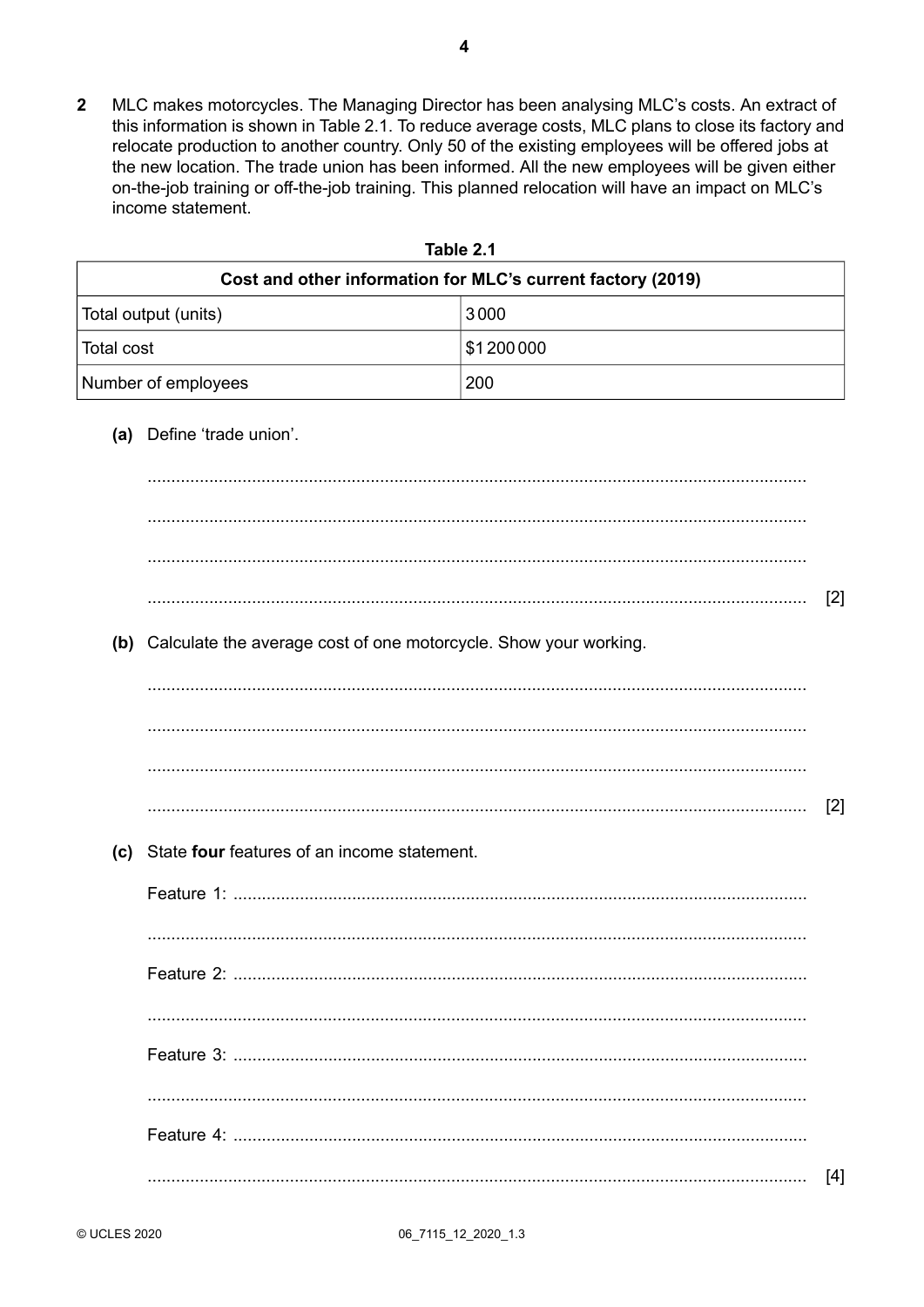$\overline{2}$ MLC makes motorcycles. The Managing Director has been analysing MLC's costs. An extract of this information is shown in Table 2.1. To reduce average costs, MLC plans to close its factory and relocate production to another country. Only 50 of the existing employees will be offered jobs at the new location. The trade union has been informed. All the new employees will be given either on-the-job training or off-the-job training. This planned relocation will have an impact on MLC's income statement.

|                   |                                                                  | Table 2.1                                                   |       |
|-------------------|------------------------------------------------------------------|-------------------------------------------------------------|-------|
|                   |                                                                  | Cost and other information for MLC's current factory (2019) |       |
|                   | Total output (units)                                             | 3000                                                        |       |
| <b>Total cost</b> |                                                                  | \$1200000                                                   |       |
|                   | Number of employees                                              | 200                                                         |       |
| (a)               | Define 'trade union'.                                            |                                                             |       |
|                   |                                                                  |                                                             |       |
| (b)               | Calculate the average cost of one motorcycle. Show your working. |                                                             | $[2]$ |
|                   |                                                                  |                                                             | $[2]$ |
| (c)               | State four features of an income statement.<br>Feature 1:        |                                                             |       |
|                   |                                                                  |                                                             |       |
|                   |                                                                  |                                                             |       |
|                   |                                                                  |                                                             | $[4]$ |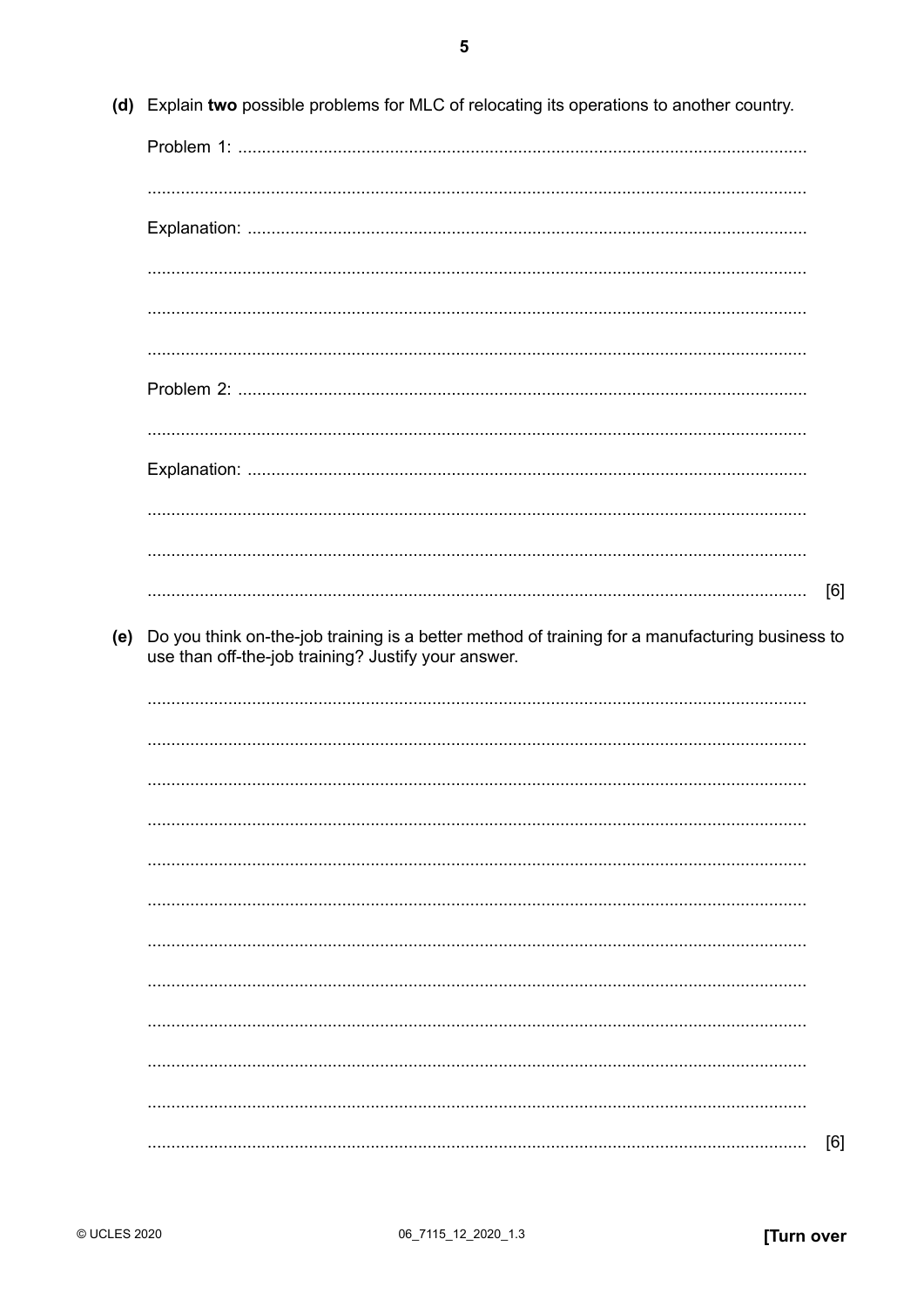| (d) | Explain two possible problems for MLC of relocating its operations to another country.                                                                 |     |
|-----|--------------------------------------------------------------------------------------------------------------------------------------------------------|-----|
|     |                                                                                                                                                        |     |
|     |                                                                                                                                                        |     |
|     |                                                                                                                                                        |     |
|     |                                                                                                                                                        |     |
|     |                                                                                                                                                        |     |
|     |                                                                                                                                                        |     |
|     |                                                                                                                                                        |     |
|     |                                                                                                                                                        |     |
|     |                                                                                                                                                        |     |
|     |                                                                                                                                                        |     |
|     |                                                                                                                                                        |     |
|     |                                                                                                                                                        |     |
|     |                                                                                                                                                        |     |
|     |                                                                                                                                                        |     |
|     |                                                                                                                                                        | [6] |
| (e) | Do you think on-the-job training is a better method of training for a manufacturing business to<br>use than off-the-job training? Justify your answer. |     |
|     |                                                                                                                                                        |     |
|     |                                                                                                                                                        |     |
|     |                                                                                                                                                        |     |
|     |                                                                                                                                                        |     |
|     |                                                                                                                                                        |     |
|     |                                                                                                                                                        |     |
|     |                                                                                                                                                        |     |
|     |                                                                                                                                                        |     |
|     |                                                                                                                                                        |     |
|     |                                                                                                                                                        |     |
|     |                                                                                                                                                        |     |
|     |                                                                                                                                                        |     |
|     |                                                                                                                                                        |     |
|     |                                                                                                                                                        |     |
|     |                                                                                                                                                        |     |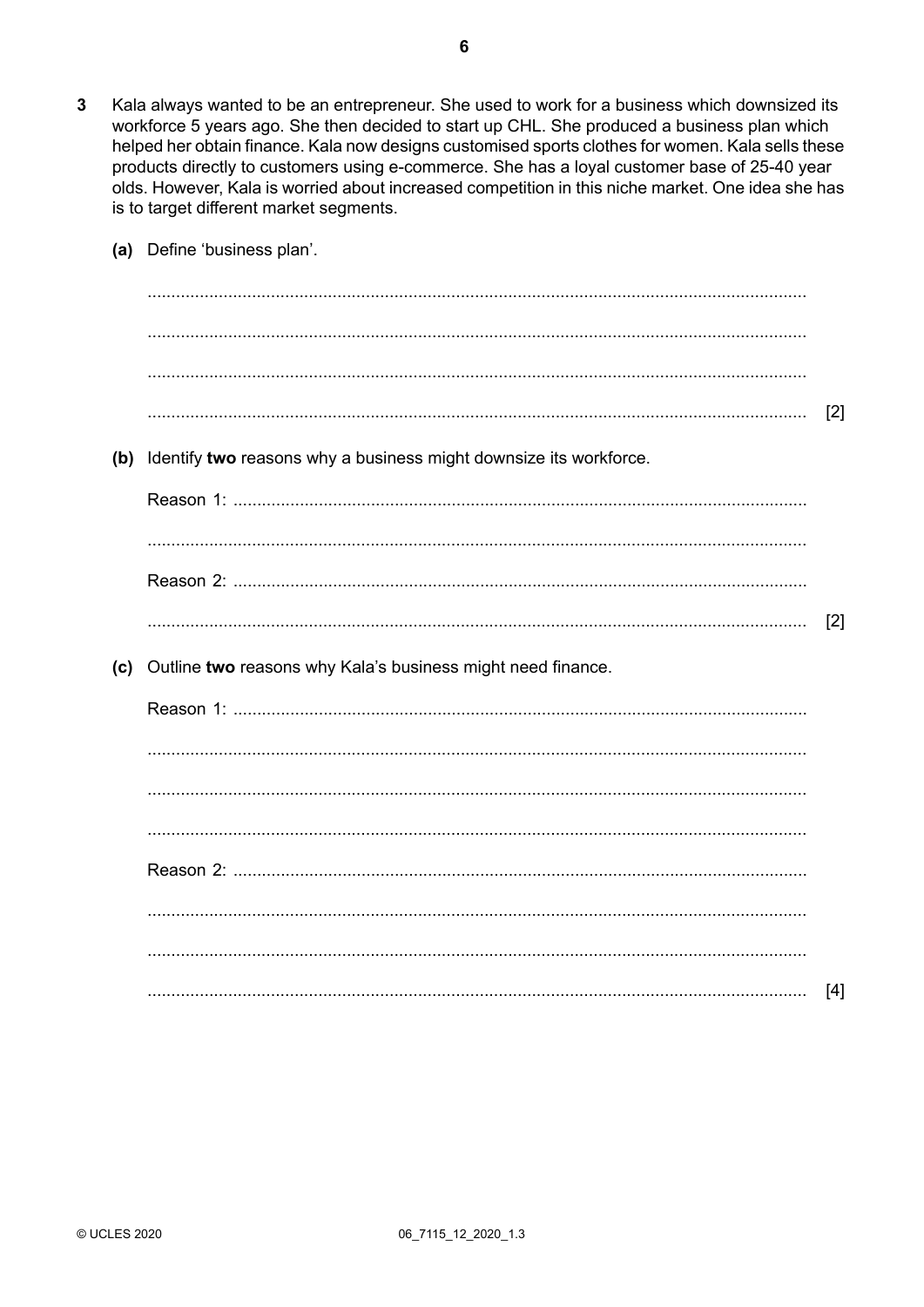$\overline{3}$ Kala always wanted to be an entrepreneur. She used to work for a business which downsized its workforce 5 years ago. She then decided to start up CHL. She produced a business plan which helped her obtain finance. Kala now designs customised sports clothes for women. Kala sells these products directly to customers using e-commerce. She has a loyal customer base of 25-40 year olds. However, Kala is worried about increased competition in this niche market. One idea she has is to target different market segments.

| (a) Define 'business plan'.                                           |       |
|-----------------------------------------------------------------------|-------|
|                                                                       |       |
|                                                                       |       |
|                                                                       |       |
|                                                                       | $[2]$ |
| (b) Identify two reasons why a business might downsize its workforce. |       |
|                                                                       |       |
|                                                                       |       |
|                                                                       |       |
|                                                                       | $[2]$ |
| (c) Outline two reasons why Kala's business might need finance.       |       |
|                                                                       |       |
|                                                                       |       |
|                                                                       |       |
|                                                                       |       |
|                                                                       |       |
|                                                                       |       |
|                                                                       |       |
|                                                                       | $[4]$ |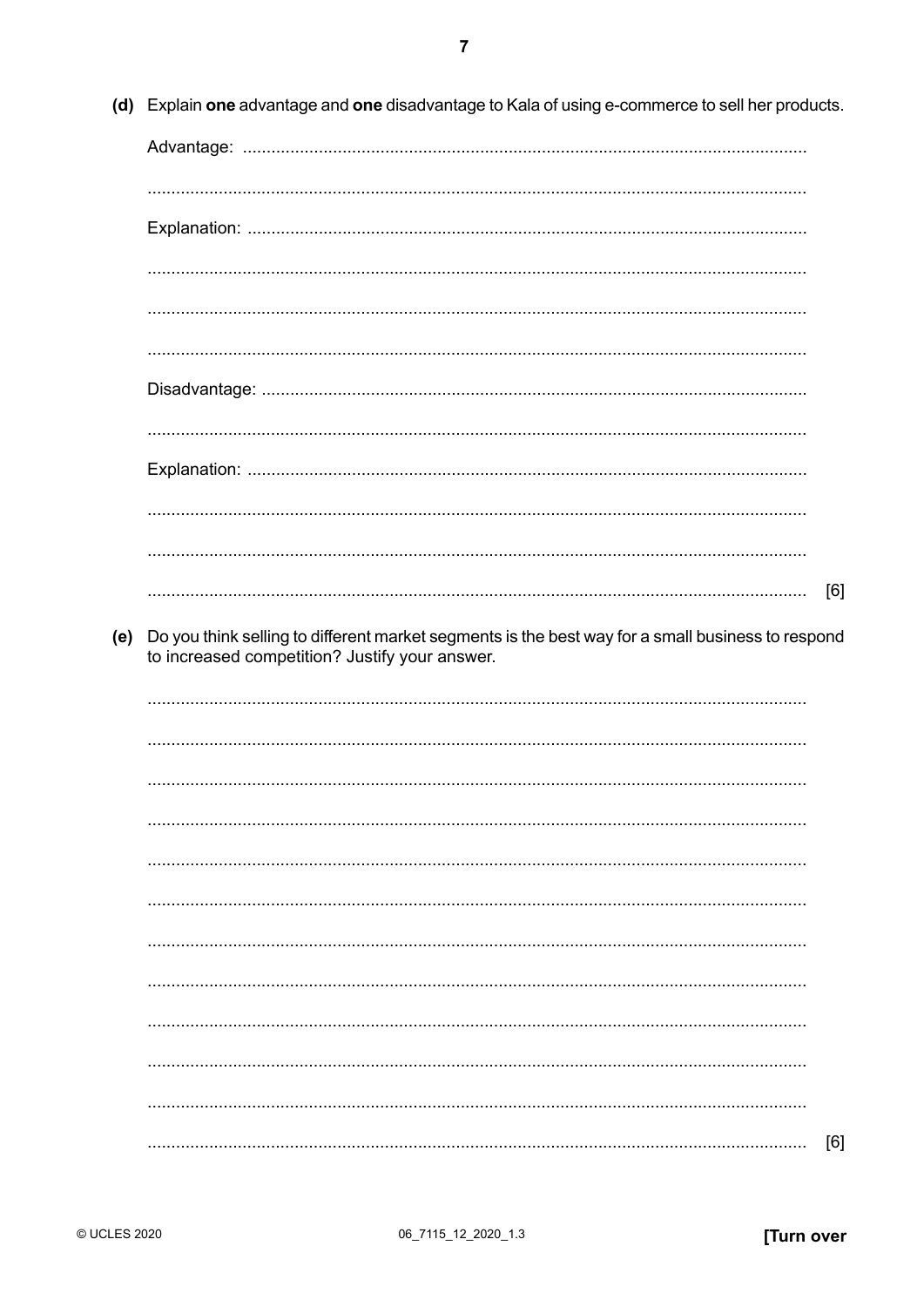(d) Explain one advantage and one disadvantage to Kala of using e-commerce to sell her products. [6] (e) Do you think selling to different market segments is the best way for a small business to respond to increased competition? Justify your answer. [6]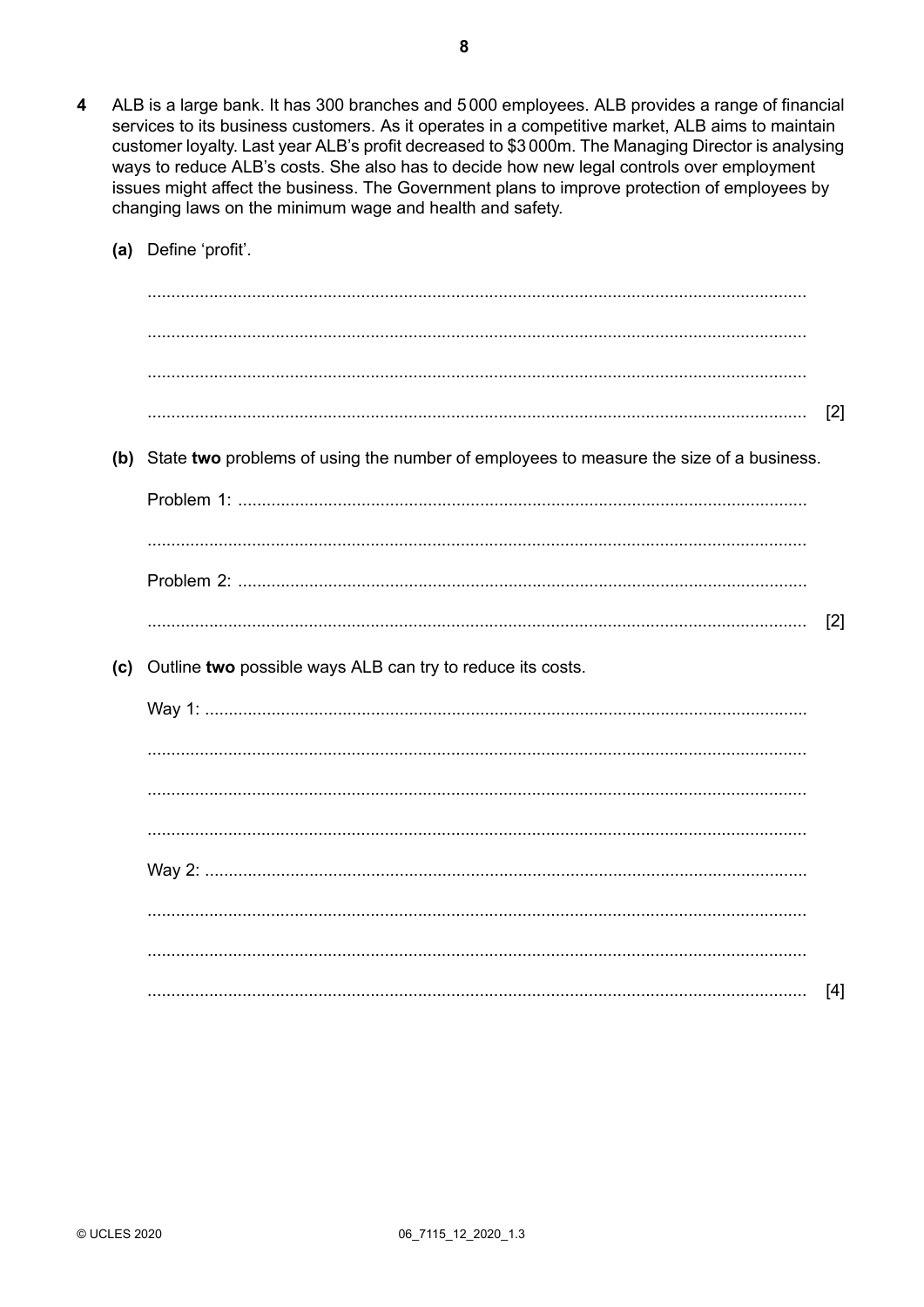$\overline{\mathbf{4}}$ ALB is a large bank. It has 300 branches and 5000 employees. ALB provides a range of financial services to its business customers. As it operates in a competitive market, ALB aims to maintain customer loyalty. Last year ALB's profit decreased to \$3 000m. The Managing Director is analysing ways to reduce ALB's costs. She also has to decide how new legal controls over employment issues might affect the business. The Government plans to improve protection of employees by changing laws on the minimum wage and health and safety.

|     | (a) Define 'profit'.                                                                   |       |
|-----|----------------------------------------------------------------------------------------|-------|
|     |                                                                                        |       |
|     |                                                                                        | $[2]$ |
| (b) | State two problems of using the number of employees to measure the size of a business. |       |
|     |                                                                                        |       |
|     |                                                                                        |       |
|     |                                                                                        | $[2]$ |
| (c) | Outline two possible ways ALB can try to reduce its costs.                             |       |
|     |                                                                                        |       |
|     |                                                                                        |       |
|     |                                                                                        |       |
|     |                                                                                        |       |
|     |                                                                                        |       |
|     |                                                                                        | [4]   |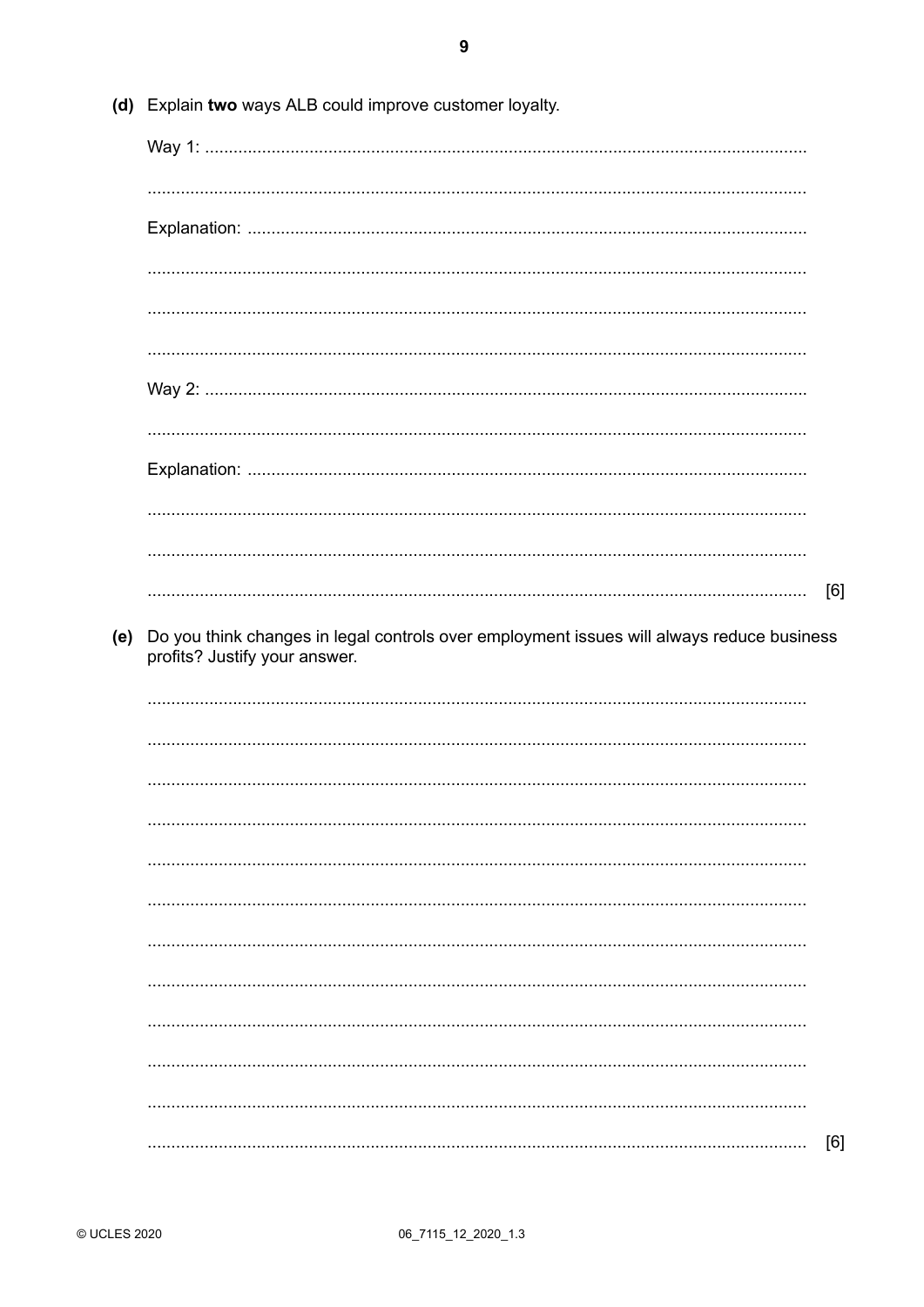| (d) Explain two ways ALB could improve customer loyalty.                                                                   |
|----------------------------------------------------------------------------------------------------------------------------|
|                                                                                                                            |
|                                                                                                                            |
|                                                                                                                            |
|                                                                                                                            |
|                                                                                                                            |
|                                                                                                                            |
|                                                                                                                            |
|                                                                                                                            |
|                                                                                                                            |
|                                                                                                                            |
|                                                                                                                            |
|                                                                                                                            |
|                                                                                                                            |
|                                                                                                                            |
|                                                                                                                            |
|                                                                                                                            |
| Do you think changes in legal controls over employment issues will always reduce business<br>profits? Justify your answer. |
|                                                                                                                            |
|                                                                                                                            |
|                                                                                                                            |
|                                                                                                                            |
|                                                                                                                            |
|                                                                                                                            |
|                                                                                                                            |
|                                                                                                                            |
|                                                                                                                            |
|                                                                                                                            |
|                                                                                                                            |
|                                                                                                                            |
|                                                                                                                            |
|                                                                                                                            |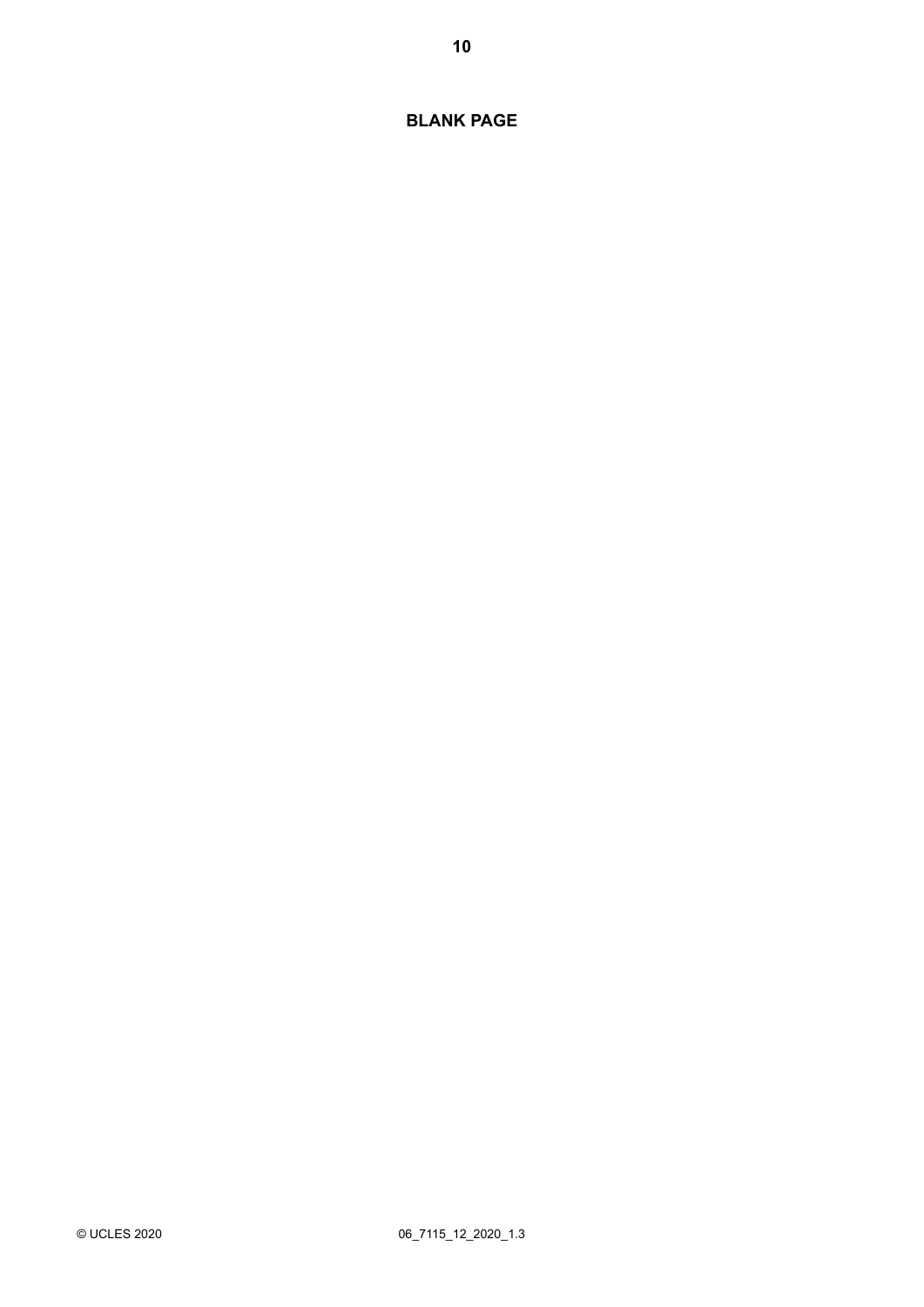## **BLANK PAGE**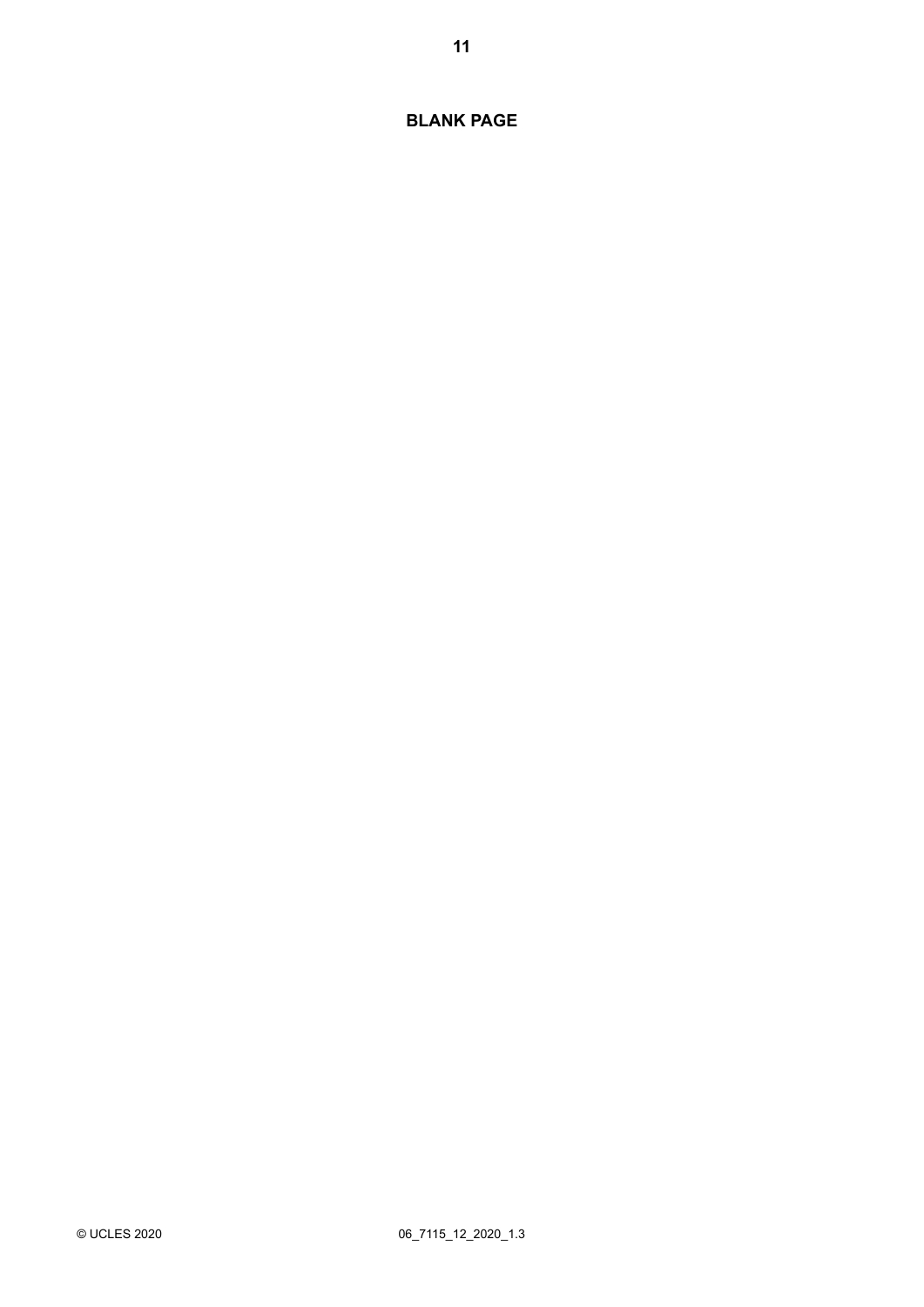## **BLANK PAGE**